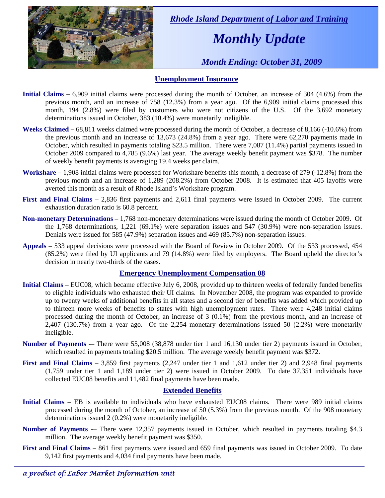

 *Rhode Island Department of Labor and Training* 

# *Monthly Update*

 *Month Ending: October 31, 2009* 

### **Unemployment Insurance**

- **Initial Claims** 6,909 initial claims were processed during the month of October, an increase of 304 (4.6%) from the previous month, and an increase of 758 (12.3%) from a year ago. Of the 6,909 initial claims processed this month, 194 (2.8%) were filed by customers who were not citizens of the U.S. Of the 3,692 monetary determinations issued in October, 383 (10.4%) were monetarily ineligible.
- **Weeks Claimed**  $68,811$  weeks claimed were processed during the month of October, a decrease of 8,166 (-10.6%) from the previous month and an increase of 13,673 (24.8%) from a year ago. There were 62,270 payments made in October, which resulted in payments totaling \$23.5 million. There were 7,087 (11.4%) partial payments issued in October 2009 compared to 4,785 (9.6%) last year. The average weekly benefit payment was \$378. The number of weekly benefit payments is averaging 19.4 weeks per claim.
- **Workshare –** 1,908 initial claims were processed for Workshare benefits this month, a decrease of 279 (-12.8%) from the previous month and an increase of 1,289 (208.2%) from October 2008. It is estimated that 405 layoffs were averted this month as a result of Rhode Island's Workshare program.
- **First and Final Claims –** 2,836 first payments and 2,611 final payments were issued in October 2009. The current exhaustion duration ratio is 60.8 percent.
- **Non-monetary Determinations –** 1,768 non-monetary determinations were issued during the month of October 2009. Of the 1,768 determinations, 1,221 (69.1%) were separation issues and 547 (30.9%) were non-separation issues. Denials were issued for 585 (47.9%) separation issues and 469 (85.7%) non-separation issues.
- **Appeals** 533 appeal decisions were processed with the Board of Review in October 2009. Of the 533 processed, 454 (85.2%) were filed by UI applicants and 79 (14.8%) were filed by employers. The Board upheld the director's decision in nearly two-thirds of the cases.

#### **Emergency Unemployment Compensation 08**

- **Initial Claims**  EUC08, which became effective July 6, 2008, provided up to thirteen weeks of federally funded benefits to eligible individuals who exhausted their UI claims. In November 2008, the program was expanded to provide up to twenty weeks of additional benefits in all states and a second tier of benefits was added which provided up to thirteen more weeks of benefits to states with high unemployment rates. There were 4,248 initial claims processed during the month of October, an increase of 3 (0.1%) from the previous month, and an increase of 2,407 (130.7%) from a year ago. Of the 2,254 monetary determinations issued 50 (2.2%) were monetarily ineligible.
- **Number of Payments** -– There were 55,008 (38,878 under tier 1 and 16,130 under tier 2) payments issued in October, which resulted in payments totaling \$20.5 million. The average weekly benefit payment was \$372.
- **First and Final Claims**  3,859 first payments (2,247 under tier 1 and 1,612 under tier 2) and 2,948 final payments (1,759 under tier 1 and 1,189 under tier 2) were issued in October 2009. To date 37,351 individuals have collected EUC08 benefits and 11,482 final payments have been made.

#### **Extended Benefits**

- **Initial Claims**  EB is available to individuals who have exhausted EUC08 claims. There were 989 initial claims processed during the month of October, an increase of 50 (5.3%) from the previous month. Of the 908 monetary determinations issued 2 (0.2%) were monetarily ineligible.
- **Number of Payments** -– There were 12,357 payments issued in October, which resulted in payments totaling \$4.3 million. The average weekly benefit payment was \$350.
- **First and Final Claims**  861 first payments were issued and 659 final payments was issued in October 2009. To date 9,142 first payments and 4,034 final payments have been made.